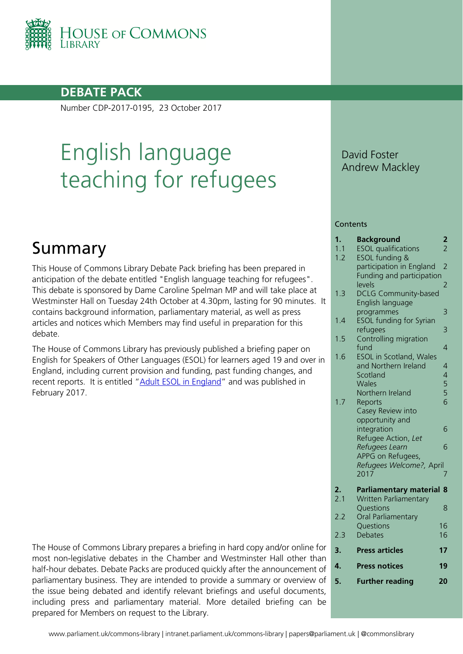

### **DEBATE PACK**

Number CDP-2017-0195, 23 October 2017

# English language teaching for refugees

# Summary

This House of Commons Library Debate Pack briefing has been prepared in anticipation of the debate entitled "English language teaching for refugees". This debate is sponsored by Dame Caroline Spelman MP and will take place at Westminster Hall on Tuesday 24th October at 4.30pm, lasting for 90 minutes. It contains background information, parliamentary material, as well as press articles and notices which Members may find useful in preparation for this debate.

The House of Commons Library has previously published a briefing paper on English for Speakers of Other Languages (ESOL) for learners aged 19 and over in England, including current provision and funding, past funding changes, and recent reports. It is entitled ["Adult ESOL in England"](http://researchbriefings.parliament.uk/ResearchBriefing/Summary/CBP-7905) and was published in February 2017.

The House of Commons Library prepares a briefing in hard copy and/or online for most non-legislative debates in the Chamber and Westminster Hall other than half-hour debates. Debate Packs are produced quickly after the announcement of parliamentary business. They are intended to provide a summary or overview of the issue being debated and identify relevant briefings and useful documents, including press and parliamentary material. More detailed briefing can be prepared for Members on request to the Library.

David Foster Andrew Mackley

#### **Contents**

| 1.  | <b>Background</b>              | $\mathbf{z}$   |
|-----|--------------------------------|----------------|
| 1.1 | <b>ESOL</b> qualifications     | $\overline{2}$ |
| 1.2 | ESOL funding &                 |                |
|     | participation in England       | $\overline{2}$ |
|     | Funding and participation      |                |
|     | levels                         | 2              |
| 1.3 | <b>DCLG Community-based</b>    |                |
|     | <b>English language</b>        |                |
|     | programmes                     | 3              |
| 1.4 | <b>ESOL funding for Syrian</b> |                |
|     | refugees                       | 3              |
| 1.5 | Controlling migration          |                |
|     | fund                           | $\overline{4}$ |
| 1.6 | <b>ESOL</b> in Scotland, Wales |                |
|     | and Northern Ireland           | $\overline{4}$ |
|     | Scotland                       |                |
|     | <b>Wales</b>                   | 4556           |
|     | Northern Ireland               |                |
| 1.7 | Reports                        |                |
|     | Casey Review into              |                |
|     | opportunity and                |                |
|     | integration                    | 6              |
|     | Refugee Action, Let            |                |
|     | Refugees Learn                 | 6              |
|     | APPG on Refugees,              |                |
|     | Refugees Welcome?, April       |                |
|     | 2017                           | 7              |
| 2.  | <b>Parliamentary material</b>  | 8              |
| 2.1 | <b>Written Parliamentary</b>   |                |
|     | Questions                      | 8              |
| 2.2 | Oral Parliamentary             |                |
|     | Questions                      | 16             |
| 2.3 | <b>Debates</b>                 | 16             |
|     |                                |                |
| 3.  | <b>Press articles</b>          | 17             |
| 4.  | <b>Press notices</b>           | 19             |
| 5.  | <b>Further reading</b>         | 20             |
|     |                                |                |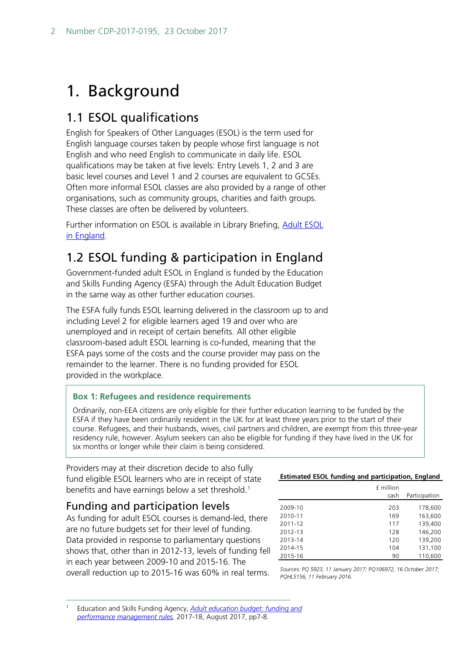# <span id="page-1-0"></span>1. Background

# <span id="page-1-1"></span>1.1 ESOL qualifications

English for Speakers of Other Languages (ESOL) is the term used for English language courses taken by people whose first language is not English and who need English to communicate in daily life. ESOL qualifications may be taken at five levels: Entry Levels 1, 2 and 3 are basic level courses and Level 1 and 2 courses are equivalent to GCSEs. Often more informal ESOL classes are also provided by a range of other organisations, such as community groups, charities and faith groups. These classes are often be delivered by volunteers.

Further information on ESOL is available in Library Briefing, Adult ESOL [in England.](http://researchbriefings.parliament.uk/ResearchBriefing/Summary/CBP-7905)

# <span id="page-1-2"></span>1.2 ESOL funding & participation in England

Government-funded adult ESOL in England is funded by the Education and Skills Funding Agency (ESFA) through the Adult Education Budget in the same way as other further education courses.

The ESFA fully funds ESOL learning delivered in the classroom up to and including Level 2 for eligible learners aged 19 and over who are unemployed and in receipt of certain benefits. All other eligible classroom-based adult ESOL learning is co-funded, meaning that the ESFA pays some of the costs and the course provider may pass on the remainder to the learner. There is no funding provided for ESOL provided in the workplace.

#### **Box 1: Refugees and residence requirements**

Ordinarily, non-EEA citizens are only eligible for their further education learning to be funded by the ESFA if they have been ordinarily resident in the UK for at least three years prior to the start of their course. Refugees, and their husbands, wives, civil partners and children, are exempt from this three-year residency rule, however. Asylum seekers can also be eligible for funding if they have lived in the UK for six months or longer while their claim is being considered.

Providers may at their discretion decide to also fully fund eligible ESOL learners who are in receipt of state benefits and have earnings below a set threshold.<sup>1</sup>

### <span id="page-1-3"></span>Funding and participation levels

As funding for adult ESOL courses is demand-led, there are no future budgets set for their level of funding. Data provided in response to parliamentary questions shows that, other than in 2012-13, levels of funding fell in each year between 2009-10 and 2015-16. The overall reduction up to 2015-16 was 60% in real terms.

#### **Estimated ESOL funding and participation, England**

|                    | £ million<br>cash | Participation      |
|--------------------|-------------------|--------------------|
| 2009-10            | 203               | 178,600            |
| 2010-11<br>2011-12 | 169<br>117        | 163.600<br>139.400 |
| 2012-13<br>2013-14 | 128<br>120        | 146,200<br>139.200 |
| 2014-15<br>2015-16 | 104<br>90         | 131,100<br>110,600 |
|                    |                   |                    |

*Sources: PQ 5923, 11 January 2017; PQ106972, 16 October 2017; PQHL5156, 11 February 2016.*

<span id="page-1-4"></span> <sup>1</sup> Education and Skills Funding Agency, *[Adult education budget: funding and](https://www.gov.uk/government/uploads/system/uploads/attachment_data/file/640223/Adult_education_budget_funding_and_performance_management_rules_version_2.pdf)  [performance management rules,](https://www.gov.uk/government/uploads/system/uploads/attachment_data/file/640223/Adult_education_budget_funding_and_performance_management_rules_version_2.pdf)* 2017-18, August 2017, pp7-8.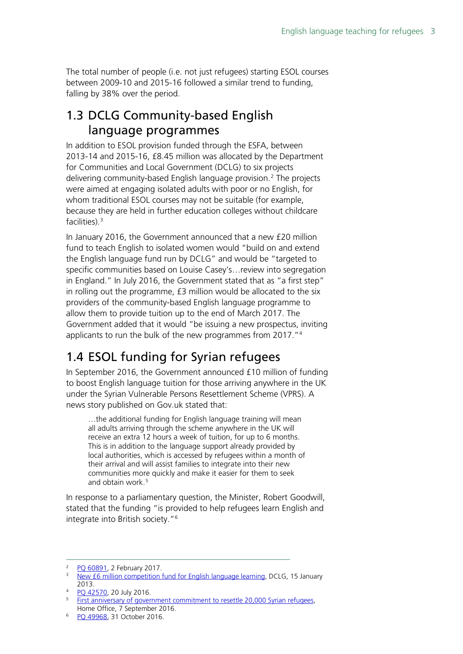The total number of people (i.e. not just refugees) starting ESOL courses between 2009-10 and 2015-16 followed a similar trend to funding, falling by 38% over the period.

# <span id="page-2-0"></span>1.3 DCLG Community-based English language programmes

In addition to ESOL provision funded through the ESFA, between 2013-14 and 2015-16, £8.45 million was allocated by the Department for Communities and Local Government (DCLG) to six projects delivering community-based English language provision.<sup>[2](#page-2-2)</sup> The projects were aimed at engaging isolated adults with poor or no English, for whom traditional ESOL courses may not be suitable (for example, because they are held in further education colleges without childcare facilities).[3](#page-2-3)

In January 2016, the Government announced that a new £20 million fund to teach English to isolated women would "build on and extend the English language fund run by DCLG" and would be "targeted to specific communities based on Louise Casey's…review into segregation in England." In July 2016, the Government stated that as "a first step" in rolling out the programme, £3 million would be allocated to the six providers of the community-based English language programme to allow them to provide tuition up to the end of March 2017. The Government added that it would "be issuing a new prospectus, inviting applicants to run the bulk of the new programmes from 2017."[4](#page-2-4)

# <span id="page-2-1"></span>1.4 ESOL funding for Syrian refugees

In September 2016, the Government announced £10 million of funding to boost English language tuition for those arriving anywhere in the UK under the Syrian Vulnerable Persons Resettlement Scheme (VPRS). A [news story](https://www.gov.uk/government/news/first-anniversary-of-government-commitment-to-resettle-20000-syrian-refugees) published on Gov.uk stated that:

…the additional funding for English language training will mean all adults arriving through the scheme anywhere in the UK will receive an extra 12 hours a week of tuition, for up to 6 months. This is in addition to the language support already provided by local authorities, which is accessed by refugees within a month of their arrival and will assist families to integrate into their new communities more quickly and make it easier for them to seek and obtain work.<sup>[5](#page-2-5)</sup>

In response to a parliamentary question, the Minister, Robert Goodwill, stated that the funding "is provided to help refugees learn English and integrate into British society."[6](#page-2-6)

<span id="page-2-2"></span><sup>&</sup>lt;sup>2</sup> [PQ 60891,](http://www.parliament.uk/written-questions-answers-statements/written-question/commons/2017-01-19/60891) 2 February 2017.

<span id="page-2-3"></span><sup>&</sup>lt;sup>3</sup> [New £6 million competition fund for English language learning,](https://www.gov.uk/government/news/new-6-million-competition-fund-for-english-language-learning) DCLG, 15 January 2013.

<span id="page-2-4"></span><sup>4</sup> [PQ 42570,](http://www.parliament.uk/written-questions-answers-statements/written-question/commons/2016-07-12/42570) 20 July 2016.

<span id="page-2-5"></span><sup>&</sup>lt;sup>5</sup> [First anniversary of government commitment to resettle 20,000 Syrian refugees,](https://www.gov.uk/government/news/first-anniversary-of-government-commitment-to-resettle-20000-syrian-refugees) Home Office, 7 September 2016.

<span id="page-2-6"></span><sup>6</sup> [PQ 49968,](http://www.parliament.uk/written-questions-answers-statements/written-question/commons/2016-10-24/49968) 31 October 2016.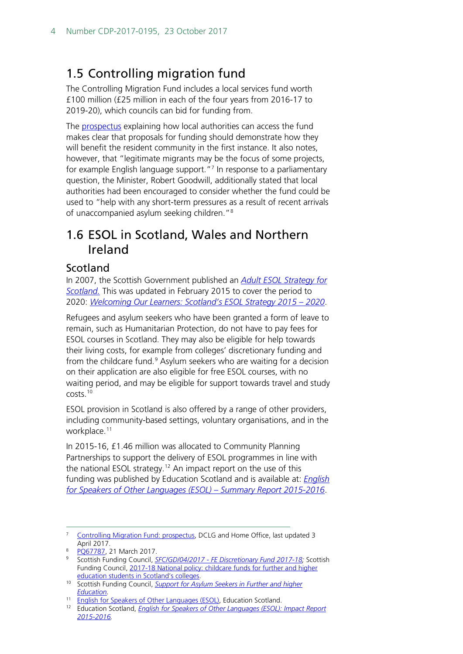# <span id="page-3-0"></span>1.5 Controlling migration fund

The Controlling Migration Fund includes a local services fund worth £100 million (£25 million in each of the four years from 2016-17 to 2019-20), which councils can bid for funding from.

The [prospectus](https://www.gov.uk/government/uploads/system/uploads/attachment_data/file/566951/Controlling_Migration_Fund_Prospectus.pdf) explaining how local authorities can access the fund makes clear that proposals for funding should demonstrate how they will benefit the resident community in the first instance. It also notes, however, that "legitimate migrants may be the focus of some projects, for example English language support."<sup>[7](#page-3-3)</sup> In response to a parliamentary question, the Minister, Robert Goodwill, additionally stated that local authorities had been encouraged to consider whether the fund could be used to "help with any short-term pressures as a result of recent arrivals of unaccompanied asylum seeking children.["8](#page-3-4)

## <span id="page-3-1"></span>1.6 ESOL in Scotland, Wales and Northern Ireland

### <span id="page-3-2"></span>Scotland

In 2007, the Scottish Government published an *[Adult ESOL Strategy for](http://www.gov.scot/Publications/2007/05/09155324/11)  Scotland.* This [was updated in F](http://www.gov.scot/Publications/2007/05/09155324/11)ebruary 2015 to cover the period to 2020: *[Welcoming Our Learners: Scotland's ESOL Strategy 2015 –](http://dera.ioe.ac.uk/22892/2/ESOLStrategy2015to2020_tcm4-855848_Redacted.pdf) 2020*.

Refugees and asylum seekers who have been granted a form of leave to remain, such as Humanitarian Protection, do not have to pay fees for ESOL courses in Scotland. They may also be eligible for help towards their living costs, for example from colleges' discretionary funding and from the childcare fund.<sup>[9](#page-3-5)</sup> Asylum seekers who are waiting for a decision on their application are also eligible for free ESOL courses, with no waiting period, and may be eligible for support towards travel and study costs.[10](#page-3-6)

ESOL provision in Scotland is also offered by a range of other providers, including community-based settings, voluntary organisations, and in the workplace.<sup>[11](#page-3-7)</sup>

In 2015-16, £1.46 million was allocated to Community Planning Partnerships to support the delivery of ESOL programmes in line with the national ESOL strategy. [12](#page-3-8) An impact report on the use of this funding was published by Education Scotland and is available at: *[English](https://education.gov.scot/Documents/ESOLSummaryReportJuly2017.pdf)  [for Speakers of Other Languages \(ESOL\) –](https://education.gov.scot/Documents/ESOLSummaryReportJuly2017.pdf) Summary Report 2015-2016*.

<span id="page-3-3"></span><sup>&</sup>lt;sup>7</sup> [Controlling Migration Fund: prospectus,](https://www.gov.uk/government/publications/controlling-migration-fund-prospectus) DCLG and Home Office, last updated 3 April 2017.<br><sup>8</sup> PQ67787, 21 March 2017.

<span id="page-3-5"></span><span id="page-3-4"></span><sup>&</sup>lt;sup>9</sup> Scottish Funding Council, **SFC/GD/04/2017 - [FE Discretionary Fund 2017-18;](http://www.sfc.ac.uk/publications-statistics/guidance/guidance-2017/SFCGD042017.aspx)** Scottish Funding Council, [2017-18 National policy: childcare funds for further and higher](http://www.sfc.ac.uk/publications-statistics/guidance/guidance-2017/SFCGD032017.aspx)  [education students in Scotland's colleges.](http://www.sfc.ac.uk/publications-statistics/guidance/guidance-2017/SFCGD032017.aspx)

<span id="page-3-6"></span><sup>10</sup> Scottish Funding Council, *[Support for Asylum Seekers in Further and higher](http://www.sfc.ac.uk/web/FILES/Funding_Streams_Student_Support/Support_for_Asylum_Seekers_in_Further_Higher_Education.pdf)  [Education.](http://www.sfc.ac.uk/web/FILES/Funding_Streams_Student_Support/Support_for_Asylum_Seekers_in_Further_Higher_Education.pdf)*

<span id="page-3-7"></span><sup>11</sup> [English for Speakers of Other Languages \(ESOL\),](https://education.gov.scot/scottish-education-system/Support%20for%20all) Education Scotland.

<span id="page-3-8"></span><sup>12</sup> Education Scotland, *[English for Speakers of Other Languages \(ESOL\): Impact Report](https://education.gov.scot/Documents/ESOL-Impact-Report.pdf)  [2015-2016.](https://education.gov.scot/Documents/ESOL-Impact-Report.pdf)*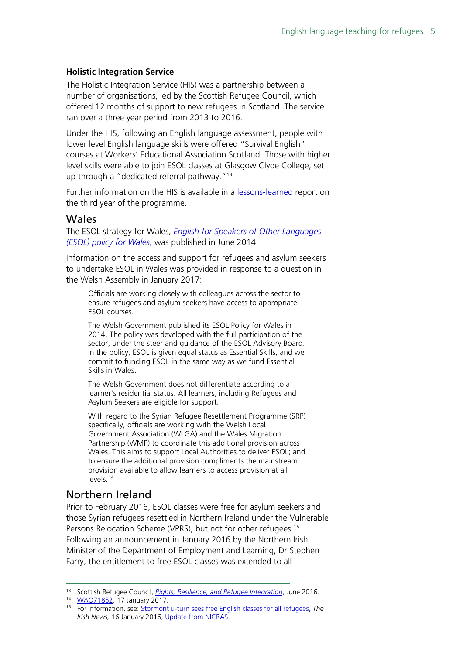#### **Holistic Integration Service**

The Holistic Integration Service (HIS) was a partnership between a number of organisations, led by the Scottish Refugee Council, which offered 12 months of support to new refugees in Scotland. The service ran over a three year period from 2013 to 2016.

Under the HIS, following an English language assessment, people with lower level English language skills were offered "Survival English" courses at Workers' Educational Association Scotland. Those with higher level skills were able to join ESOL classes at Glasgow Clyde College, set up through a "dedicated referral pathway."<sup>[13](#page-4-2)</sup>

Further information on the HIS is available in a [lessons-learned](http://www.scottishrefugeecouncil.org.uk/assets/0001/1142/Full_Integration_Report_June_2016.pdf) report on the third year of the programme.

#### <span id="page-4-0"></span>Wales

The ESOL strategy for Wales, *[English for Speakers of Other Languages](http://gov.wales/docs/dcells/publications/140619-esol-policy-en.pdf)  [\(ESOL\) policy for Wales,](http://gov.wales/docs/dcells/publications/140619-esol-policy-en.pdf)* was published in June 2014.

Information on the access and support for refugees and asylum seekers to undertake ESOL in Wales was provided in response to a question in the Welsh Assembly in January 2017:

Officials are working closely with colleagues across the sector to ensure refugees and asylum seekers have access to appropriate ESOL courses.

The Welsh Government published its ESOL Policy for Wales in 2014. The policy was developed with the full participation of the sector, under the steer and guidance of the ESOL Advisory Board. In the policy, ESOL is given equal status as Essential Skills, and we commit to funding ESOL in the same way as we fund Essential Skills in Wales.

The Welsh Government does not differentiate according to a learner's residential status. All learners, including Refugees and Asylum Seekers are eligible for support.

With regard to the Syrian Refugee Resettlement Programme (SRP) specifically, officials are working with the Welsh Local Government Association (WLGA) and the Wales Migration Partnership (WMP) to coordinate this additional provision across Wales. This aims to support Local Authorities to deliver ESOL; and to ensure the additional provision compliments the mainstream provision available to allow learners to access provision at all  $levels<sup>14</sup>$  $levels<sup>14</sup>$  $levels<sup>14</sup>$ 

### <span id="page-4-1"></span>Northern Ireland

Prior to February 2016, ESOL classes were free for asylum seekers and those Syrian refugees resettled in Northern Ireland under the Vulnerable Persons Relocation Scheme (VPRS), but not for other refugees.<sup>[15](#page-4-4)</sup> Following an announcement in January 2016 by the Northern Irish Minister of the Department of Employment and Learning, Dr Stephen Farry, the entitlement to free ESOL classes was extended to all

<span id="page-4-2"></span> <sup>13</sup> Scottish Refugee Council, *[Rights, Resilience, and Refugee Integration](http://www.scottishrefugeecouncil.org.uk/assets/0001/1142/Full_Integration_Report_June_2016.pdf)*, June 2016*.*

<sup>14</sup> [WAQ71852,](http://www.assembly.wales/en/bus-home/pages/plenaryitem.aspx?category=Written%20Question&itemid=3353) 17 January 2017.

<span id="page-4-4"></span><span id="page-4-3"></span><sup>15</sup> For information, see: [Stormont u-turn sees free English classes for all refugees,](http://www.irishnews.com/news/2016/01/16/news/stormont-u-turn-sees-free-english-classes-for-all-refugees-384425/) *The Irish News,* 16 January 2016; [Update from NICRAS.](https://naccom.org.uk/update-work-nicras/)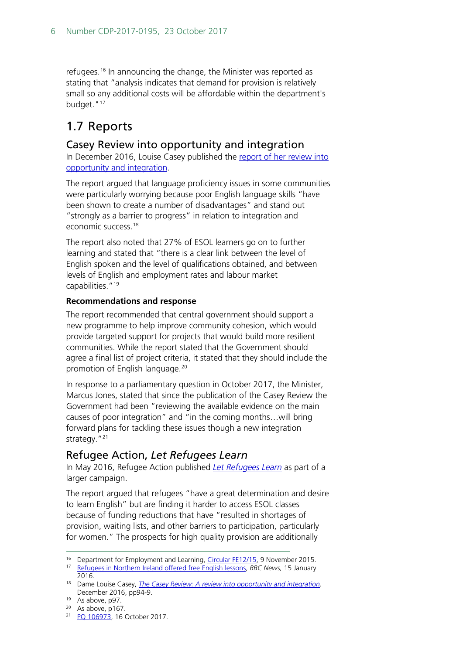refugees.<sup>[16](#page-5-3)</sup> In announcing the change, the Minister was reported as stating that "analysis indicates that demand for provision is relatively small so any additional costs will be affordable within the department's budget."<sup>17</sup>

# <span id="page-5-0"></span>1.7 Reports

#### <span id="page-5-1"></span>Casey Review into opportunity and integration

In December 2016, Louise Casey published the report of her review into [opportunity and integration.](https://www.gov.uk/government/publications/the-casey-review-a-review-into-opportunity-and-integration)

The report argued that language proficiency issues in some communities were particularly worrying because poor English language skills "have been shown to create a number of disadvantages" and stand out "strongly as a barrier to progress" in relation to integration and economic success.<sup>[18](#page-5-5)</sup>

The report also noted that 27% of ESOL learners go on to further learning and stated that "there is a clear link between the level of English spoken and the level of qualifications obtained, and between levels of English and employment rates and labour market capabilities."<sup>[19](#page-5-6)</sup>

#### **Recommendations and response**

The report recommended that central government should support a new programme to help improve community cohesion, which would provide targeted support for projects that would build more resilient communities. While the report stated that the Government should agree a final list of project criteria, it stated that they should include the promotion of English language.[20](#page-5-7)

In response to a parliamentary question in October 2017, the Minister, Marcus Jones, stated that since the publication of the Casey Review the Government had been "reviewing the available evidence on the main causes of poor integration" and "in the coming months…will bring forward plans for tackling these issues though a new integration strategy."<sup>[21](#page-5-8)</sup>

### <span id="page-5-2"></span>Refugee Action, *Let Refugees Learn*

In May 2016, Refugee Action published *[Let Refugees Learn](http://www.refugee-action.org.uk/wp-content/uploads/2016/11/letrefugeeslearnfullreport.pdf)* as part of a larger campaign.

The report argued that refugees "have a great determination and desire to learn English" but are finding it harder to access ESOL classes because of funding reductions that have "resulted in shortages of provision, waiting lists, and other barriers to participation, particularly for women." The prospects for high quality provision are additionally

<span id="page-5-3"></span><sup>&</sup>lt;sup>16</sup> Department for Employment and Learning, [Circular FE12/15,](https://www.economy-ni.gov.uk/sites/default/files/publications/del/New%20ESOL%20circular%20%282%29.pdf) 9 November 2015.

<span id="page-5-4"></span><sup>17</sup> [Refugees in Northern Ireland offered free English lessons,](http://www.bbc.co.uk/news/uk-northern-ireland-35324418) *BBC News,* 15 January 2016.

<span id="page-5-5"></span><sup>18</sup> Dame Louise Casey, *[The Casey Review: A review into opportunity and integration,](https://www.gov.uk/government/publications/the-casey-review-a-review-into-opportunity-and-integration)* December 2016, pp94-9.

<span id="page-5-6"></span><sup>&</sup>lt;sup>19</sup> As above, p97.

 $20$  As above, p167.

<span id="page-5-8"></span><span id="page-5-7"></span><sup>21</sup> [PQ 106973,](http://www.parliament.uk/written-questions-answers-statements/written-question/commons/2017-10-10/106973) 16 October 2017.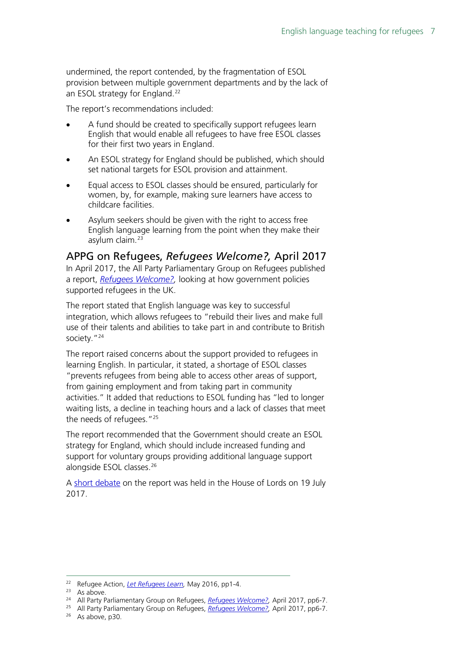undermined, the report contended, by the fragmentation of ESOL provision between multiple government departments and by the lack of an ESOL strategy for England.<sup>[22](#page-6-1)</sup>

The report's recommendations included:

- A fund should be created to specifically support refugees learn English that would enable all refugees to have free ESOL classes for their first two years in England.
- An ESOL strategy for England should be published, which should set national targets for ESOL provision and attainment.
- Equal access to ESOL classes should be ensured, particularly for women, by, for example, making sure learners have access to childcare facilities.
- Asylum seekers should be given with the right to access free English language learning from the point when they make their asylum claim.[23](#page-6-2)

#### <span id="page-6-0"></span>APPG on Refugees, *Refugees Welcome?,* April 2017

In April 2017, the All Party Parliamentary Group on Refugees published a report, *[Refugees Welcome?,](https://www.refugeecouncil.org.uk/assets/0004/0316/APPG_on_Refugees_-_Refugees_Welcome_report.pdf)* looking at how government policies supported refugees in the UK.

The report stated that English language was key to successful integration, which allows refugees to "rebuild their lives and make full use of their talents and abilities to take part in and contribute to British society."<sup>24</sup>

The report raised concerns about the support provided to refugees in learning English. In particular, it stated, a shortage of ESOL classes "prevents refugees from being able to access other areas of support, from gaining employment and from taking part in community activities." It added that reductions to ESOL funding has "led to longer waiting lists, a decline in teaching hours and a lack of classes that meet the needs of refugees."[25](#page-6-4)

The report recommended that the Government should create an ESOL strategy for England, which should include increased funding and support for voluntary groups providing additional language support alongside ESOL classes.[26](#page-6-5)

A [short debate](https://hansard.parliament.uk/Lords/2017-07-19/debates/02FCEA8A-3782-431D-9C2C-DEA8D4783847/Refugees#contribution-88437004-BE7E-4AD4-BEFD-98A4B420082E) on the report was held in the House of Lords on 19 July 2017.

<span id="page-6-1"></span> <sup>22</sup> Refugee Action, *[Let Refugees Learn,](http://www.refugee-action.org.uk/wp-content/uploads/2016/11/letrefugeeslearnfullreport.pdf)* May 2016, pp1-4.

<span id="page-6-2"></span> $23$  As above.

<sup>24</sup> All Party Parliamentary Group on Refugees, *[Refugees Welcome?,](https://www.refugeecouncil.org.uk/assets/0004/0316/APPG_on_Refugees_-_Refugees_Welcome_report.pdf)* April 2017, pp6-7.

<span id="page-6-4"></span><span id="page-6-3"></span><sup>25</sup> All Party Parliamentary Group on Refugees, *[Refugees Welcome?,](https://www.refugeecouncil.org.uk/assets/0004/0316/APPG_on_Refugees_-_Refugees_Welcome_report.pdf)* April 2017, pp6-7.

<span id="page-6-5"></span><sup>&</sup>lt;sup>26</sup> As above, p30.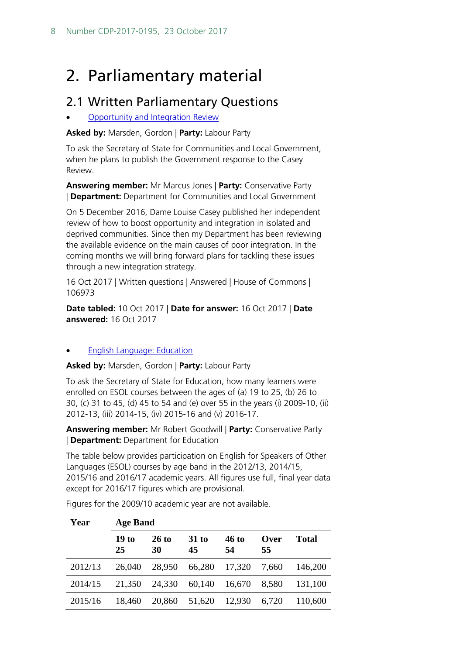# <span id="page-7-0"></span>2. Parliamentary material

# <span id="page-7-1"></span>2.1 Written Parliamentary Questions

**[Opportunity](http://www.parliament.uk/written-questions-answers-statements/written-question/commons/2017-10-10/106973) and Integration Review** 

#### **Asked by:** Marsden, Gordon | **Party:** Labour Party

To ask the Secretary of State for Communities and Local Government, when he plans to publish the Government response to the Casey Review.

**Answering member:** Mr Marcus Jones | **Party:** Conservative Party | **Department:** Department for Communities and Local Government

On 5 December 2016, Dame Louise Casey published her independent review of how to boost opportunity and integration in isolated and deprived communities. Since then my Department has been reviewing the available evidence on the main causes of poor integration. In the coming months we will bring forward plans for tackling these issues through a new integration strategy.

16 Oct 2017 | Written questions | Answered | House of Commons | 106973

**Date tabled:** 10 Oct 2017 | **Date for answer:** 16 Oct 2017 | **Date answered:** 16 Oct 2017

#### **English [Language:](http://www.parliament.uk/written-questions-answers-statements/written-question/commons/2017-10-10/106972) Education**

**Asked by:** Marsden, Gordon | **Party:** Labour Party

To ask the Secretary of State for Education, how many learners were enrolled on ESOL courses between the ages of (a) 19 to 25, (b) 26 to 30, (c) 31 to 45, (d) 45 to 54 and (e) over 55 in the years (i) 2009-10, (ii) 2012-13, (iii) 2014-15, (iv) 2015-16 and (v) 2016-17.

**Answering member:** Mr Robert Goodwill | **Party:** Conservative Party | **Department:** Department for Education

The table below provides participation on English for Speakers of Other Languages (ESOL) courses by age band in the 2012/13, 2014/15, 2015/16 and 2016/17 academic years. All figures use full, final year data except for 2016/17 figures which are provisional.

Figures for the 2009/10 academic year are not available.

| Year    | <b>Age Band</b> |               |             |                    |            |              |
|---------|-----------------|---------------|-------------|--------------------|------------|--------------|
|         | 19 to<br>25     | $26$ to<br>30 | 31 to<br>45 | <b>46 to</b><br>54 | Over<br>55 | <b>Total</b> |
| 2012/13 | 26,040          | 28,950        | 66,280      | 17,320             | 7,660      | 146,200      |
| 2014/15 | 21,350          | 24,330        | 60,140      | 16,670             | 8,580      | 131,100      |
| 2015/16 | 18,460          | 20,860        | 51,620      | 12,930             | 6,720      | 110,600      |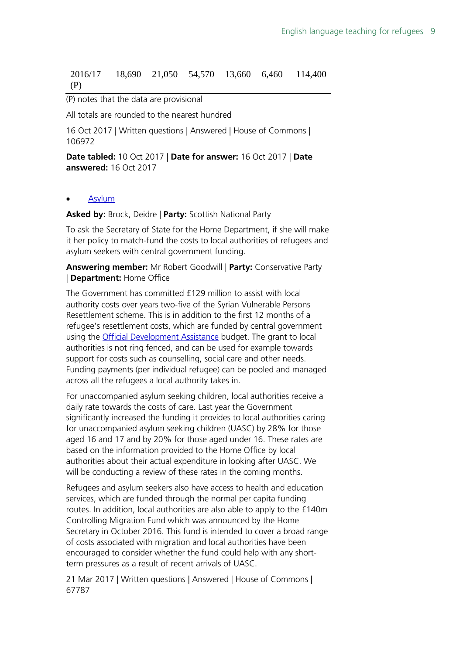#### 2016/17 (P) 18,690 21,050 54,570 13,660 6,460 114,400

#### (P) notes that the data are provisional

All totals are rounded to the nearest hundred

16 Oct 2017 | Written questions | Answered | House of Commons | 106972

**Date tabled:** 10 Oct 2017 | **Date for answer:** 16 Oct 2017 | **Date answered:** 16 Oct 2017

#### **[Asylum](http://www.parliament.uk/written-questions-answers-statements/written-question/commons/2017-03-14/67787)**

**Asked by:** Brock, Deidre | **Party:** Scottish National Party

To ask the Secretary of State for the Home Department, if she will make it her policy to match-fund the costs to local authorities of refugees and asylum seekers with central government funding.

**Answering member:** Mr Robert Goodwill | **Party:** Conservative Party | **Department:** Home Office

The Government has committed £129 million to assist with local authority costs over years two-five of the Syrian Vulnerable Persons Resettlement scheme. This is in addition to the first 12 months of a refugee's resettlement costs, which are funded by central government using the [Official Development Assistance](https://en.wikipedia.org/wiki/Official_Development_Assistance) budget. The grant to local authorities is not ring fenced, and can be used for example towards support for costs such as counselling, social care and other needs. Funding payments (per individual refugee) can be pooled and managed across all the refugees a local authority takes in.

For unaccompanied asylum seeking children, local authorities receive a daily rate towards the costs of care. Last year the Government significantly increased the funding it provides to local authorities caring for unaccompanied asylum seeking children (UASC) by 28% for those aged 16 and 17 and by 20% for those aged under 16. These rates are based on the information provided to the Home Office by local authorities about their actual expenditure in looking after UASC. We will be conducting a review of these rates in the coming months.

Refugees and asylum seekers also have access to health and education services, which are funded through the normal per capita funding routes. In addition, local authorities are also able to apply to the £140m Controlling Migration Fund which was announced by the Home Secretary in October 2016. This fund is intended to cover a broad range of costs associated with migration and local authorities have been encouraged to consider whether the fund could help with any shortterm pressures as a result of recent arrivals of UASC.

21 Mar 2017 | Written questions | Answered | House of Commons | 67787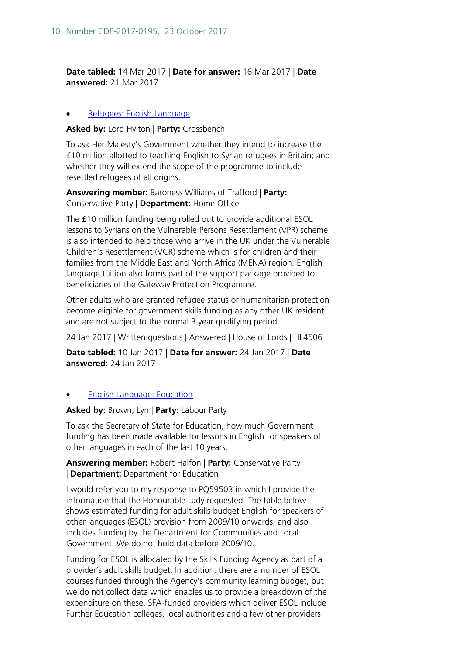**Date tabled:** 14 Mar 2017 | **Date for answer:** 16 Mar 2017 | **Date answered:** 21 Mar 2017

#### [Refugees: English Language](http://www.parliament.uk/written-questions-answers-statements/written-question/lords/2017-01-10/HL4506)

#### **Asked by:** Lord Hylton | **Party:** Crossbench

To ask Her Majesty's Government whether they intend to increase the £10 million allotted to teaching English to Syrian refugees in Britain; and whether they will extend the scope of the programme to include resettled refugees of all origins.

**Answering member:** Baroness Williams of Trafford | **Party:**  Conservative Party | **Department:** Home Office

The £10 million funding being rolled out to provide additional ESOL lessons to Syrians on the Vulnerable Persons Resettlement (VPR) scheme is also intended to help those who arrive in the UK under the Vulnerable Children's Resettlement (VCR) scheme which is for children and their families from the Middle East and North Africa (MENA) region. English language tuition also forms part of the support package provided to beneficiaries of the Gateway Protection Programme.

Other adults who are granted refugee status or humanitarian protection become eligible for government skills funding as any other UK resident and are not subject to the normal 3 year qualifying period.

24 Jan 2017 | Written questions | Answered | House of Lords | HL4506

**Date tabled:** 10 Jan 2017 | **Date for answer:** 24 Jan 2017 | **Date answered:** 24 Jan 2017

#### • English [Language:](http://www.parliament.uk/written-questions-answers-statements/written-question/commons/2017-01-19/60891) Education

#### **Asked by:** Brown, Lyn | **Party:** Labour Party

To ask the Secretary of State for Education, how much Government funding has been made available for lessons in English for speakers of other languages in each of the last 10 years.

**Answering member:** Robert Halfon | **Party:** Conservative Party | **Department:** Department for Education

I would refer you to my response to PQ59503 in which I provide the information that the Honourable Lady requested. The table below shows estimated funding for adult skills budget English for speakers of other languages (ESOL) provision from 2009/10 onwards, and also includes funding by the Department for Communities and Local Government. We do not hold data before 2009/10.

Funding for ESOL is allocated by the Skills Funding Agency as part of a provider's adult skills budget. In addition, there are a number of ESOL courses funded through the Agency's community learning budget, but we do not collect data which enables us to provide a breakdown of the expenditure on these. SFA-funded providers which deliver ESOL include Further Education colleges, local authorities and a few other providers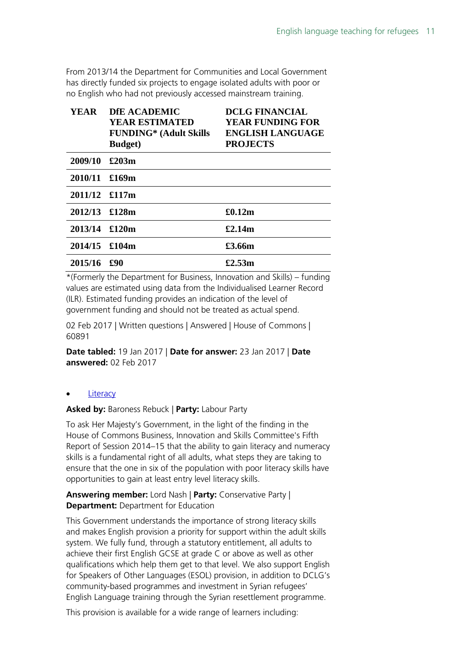From 2013/14 the Department for Communities and Local Government has directly funded six projects to engage isolated adults with poor or no English who had not previously accessed mainstream training.

| <b>YEAR</b>   | <b>DfE ACADEMIC</b>           | <b>DCLG FINANCIAL</b>   |
|---------------|-------------------------------|-------------------------|
|               | <b>YEAR ESTIMATED</b>         | <b>YEAR FUNDING FOR</b> |
|               | <b>FUNDING*</b> (Adult Skills | <b>ENGLISH LANGUAGE</b> |
|               | <b>Budget</b> )               | <b>PROJECTS</b>         |
| 2009/10       | £203m                         |                         |
| 2010/11 £169m |                               |                         |
| 2011/12 £117m |                               |                         |
| 2012/13 £128m |                               | £0.12m                  |
| 2013/14 £120m |                               | £2.14m                  |
| 2014/15 £104m |                               | £3.66m                  |
| 2015/16       | £90                           | £2.53m                  |

\*(Formerly the Department for Business, Innovation and Skills) – funding values are estimated using data from the Individualised Learner Record (ILR). Estimated funding provides an indication of the level of government funding and should not be treated as actual spend.

02 Feb 2017 | Written questions | Answered | House of Commons | 60891

**Date tabled:** 19 Jan 2017 | **Date for answer:** 23 Jan 2017 | **Date answered:** 02 Feb 2017

#### **[Literacy](http://www.parliament.uk/written-questions-answers-statements/written-question/lords/2016-09-09/HL1754)**

**Asked by:** Baroness Rebuck | **Party:** Labour Party

To ask Her Majesty's Government, in the light of the finding in the House of Commons Business, Innovation and Skills Committee's Fifth Report of Session 2014–15 that the ability to gain literacy and numeracy skills is a fundamental right of all adults, what steps they are taking to ensure that the one in six of the population with poor literacy skills have opportunities to gain at least entry level literacy skills.

#### **Answering member:** Lord Nash | **Party:** Conservative Party | **Department:** Department for Education

This Government understands the importance of strong literacy skills and makes English provision a priority for support within the adult skills system. We fully fund, through a statutory entitlement, all adults to achieve their first English GCSE at grade C or above as well as other qualifications which help them get to that level. We also support English for Speakers of Other Languages (ESOL) provision, in addition to DCLG's community-based programmes and investment in Syrian refugees' English Language training through the Syrian resettlement programme.

This provision is available for a wide range of learners including: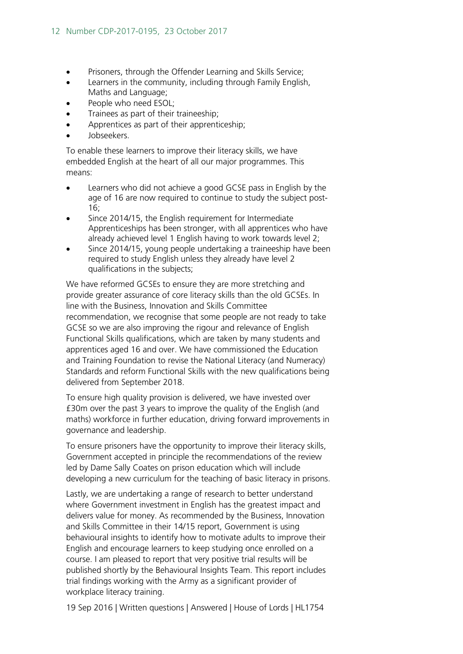- Prisoners, through the Offender Learning and Skills Service;
- Learners in the community, including through Family English, Maths and Language;
- People who need ESOL;
- Trainees as part of their traineeship;
- Apprentices as part of their apprenticeship;
- Jobseekers.

To enable these learners to improve their literacy skills, we have embedded English at the heart of all our major programmes. This means:

- Learners who did not achieve a good GCSE pass in English by the age of 16 are now required to continue to study the subject post-16;
- Since 2014/15, the English requirement for Intermediate Apprenticeships has been stronger, with all apprentices who have already achieved level 1 English having to work towards level 2;
- Since 2014/15, young people undertaking a traineeship have been required to study English unless they already have level 2 qualifications in the subjects;

We have reformed GCSEs to ensure they are more stretching and provide greater assurance of core literacy skills than the old GCSEs. In line with the Business, Innovation and Skills Committee recommendation, we recognise that some people are not ready to take GCSE so we are also improving the rigour and relevance of English Functional Skills qualifications, which are taken by many students and apprentices aged 16 and over. We have commissioned the Education and Training Foundation to revise the National Literacy (and Numeracy) Standards and reform Functional Skills with the new qualifications being delivered from September 2018.

To ensure high quality provision is delivered, we have invested over £30m over the past 3 years to improve the quality of the English (and maths) workforce in further education, driving forward improvements in governance and leadership.

To ensure prisoners have the opportunity to improve their literacy skills, Government accepted in principle the recommendations of the review led by Dame Sally Coates on prison education which will include developing a new curriculum for the teaching of basic literacy in prisons.

Lastly, we are undertaking a range of research to better understand where Government investment in English has the greatest impact and delivers value for money. As recommended by the Business, Innovation and Skills Committee in their 14/15 report, Government is using behavioural insights to identify how to motivate adults to improve their English and encourage learners to keep studying once enrolled on a course. I am pleased to report that very positive trial results will be published shortly by the Behavioural Insights Team. This report includes trial findings working with the Army as a significant provider of workplace literacy training.

19 Sep 2016 | Written questions | Answered | House of Lords | HL1754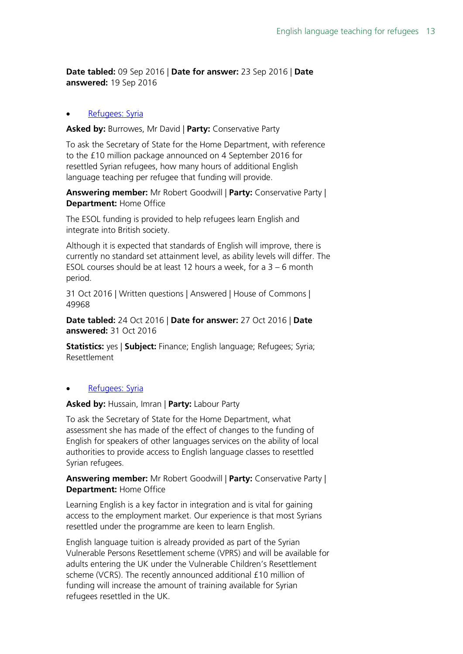**Date tabled:** 09 Sep 2016 | **Date for answer:** 23 Sep 2016 | **Date answered:** 19 Sep 2016

#### [Refugees: Syria](http://www.parliament.uk/written-questions-answers-statements/written-question/commons/2016-10-24/49968)

**Asked by:** Burrowes, Mr David | **Party:** Conservative Party

To ask the Secretary of State for the Home Department, with reference to the £10 million package announced on 4 September 2016 for resettled Syrian refugees, how many hours of additional English language teaching per refugee that funding will provide.

**Answering member:** Mr Robert Goodwill | **Party:** Conservative Party | **Department:** Home Office

The ESOL funding is provided to help refugees learn English and integrate into British society.

Although it is expected that standards of English will improve, there is currently no standard set attainment level, as ability levels will differ. The ESOL courses should be at least 12 hours a week, for a 3 – 6 month period.

31 Oct 2016 | Written questions | Answered | House of Commons | 49968

**Date tabled:** 24 Oct 2016 | **Date for answer:** 27 Oct 2016 | **Date answered:** 31 Oct 2016

**Statistics:** yes | **Subject:** Finance; English language; Refugees; Syria; Resettlement

#### [Refugees: Syria](http://www.parliament.uk/written-questions-answers-statements/written-question/commons/2016-10-07/46887)

**Asked by:** Hussain, Imran | **Party:** Labour Party

To ask the Secretary of State for the Home Department, what assessment she has made of the effect of changes to the funding of English for speakers of other languages services on the ability of local authorities to provide access to English language classes to resettled Syrian refugees.

#### **Answering member:** Mr Robert Goodwill | **Party:** Conservative Party | **Department:** Home Office

Learning English is a key factor in integration and is vital for gaining access to the employment market. Our experience is that most Syrians resettled under the programme are keen to learn English.

English language tuition is already provided as part of the Syrian Vulnerable Persons Resettlement scheme (VPRS) and will be available for adults entering the UK under the Vulnerable Children's Resettlement scheme (VCRS). The recently announced additional £10 million of funding will increase the amount of training available for Syrian refugees resettled in the UK.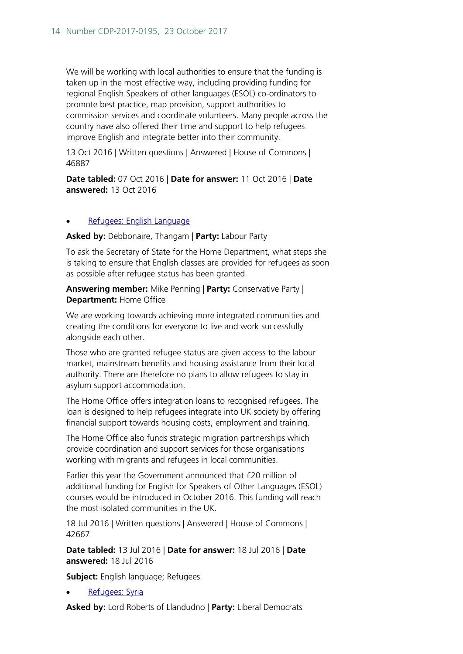We will be working with local authorities to ensure that the funding is taken up in the most effective way, including providing funding for regional English Speakers of other languages (ESOL) co-ordinators to promote best practice, map provision, support authorities to commission services and coordinate volunteers. Many people across the country have also offered their time and support to help refugees improve English and integrate better into their community.

13 Oct 2016 | Written questions | Answered | House of Commons | 46887

**Date tabled:** 07 Oct 2016 | **Date for answer:** 11 Oct 2016 | **Date answered:** 13 Oct 2016

#### • [Refugees: English Language](http://www.parliament.uk/written-questions-answers-statements/written-question/commons/2016-07-13/42667)

**Asked by:** Debbonaire, Thangam | **Party:** Labour Party

To ask the Secretary of State for the Home Department, what steps she is taking to ensure that English classes are provided for refugees as soon as possible after refugee status has been granted.

**Answering member:** Mike Penning | **Party:** Conservative Party | **Department:** Home Office

We are working towards achieving more integrated communities and creating the conditions for everyone to live and work successfully alongside each other.

Those who are granted refugee status are given access to the labour market, mainstream benefits and housing assistance from their local authority. There are therefore no plans to allow refugees to stay in asylum support accommodation.

The Home Office offers integration loans to recognised refugees. The loan is designed to help refugees integrate into UK society by offering financial support towards housing costs, employment and training.

The Home Office also funds strategic migration partnerships which provide coordination and support services for those organisations working with migrants and refugees in local communities.

Earlier this year the Government announced that £20 million of additional funding for English for Speakers of Other Languages (ESOL) courses would be introduced in October 2016. This funding will reach the most isolated communities in the UK.

18 Jul 2016 | Written questions | Answered | House of Commons | 42667

**Date tabled:** 13 Jul 2016 | **Date for answer:** 18 Jul 2016 | **Date answered:** 18 Jul 2016

**Subject:** English language; Refugees

[Refugees: Syria](http://www.parliament.uk/written-questions-answers-statements/written-question/lords/2016-04-20/HL7796)

**Asked by:** Lord Roberts of Llandudno | **Party:** Liberal Democrats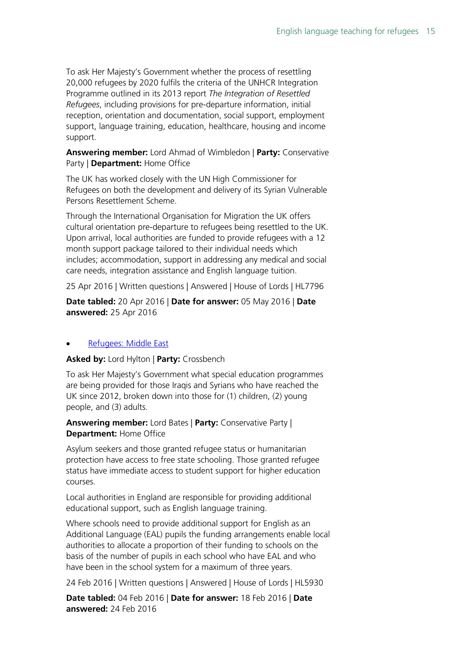To ask Her Majesty's Government whether the process of resettling 20,000 refugees by 2020 fulfils the criteria of the UNHCR Integration Programme outlined in its 2013 report *The Integration of Resettled Refugees*, including provisions for pre-departure information, initial reception, orientation and documentation, social support, employment support, language training, education, healthcare, housing and income support.

**Answering member:** Lord Ahmad of Wimbledon | **Party:** Conservative Party | **Department:** Home Office

The UK has worked closely with the UN High Commissioner for Refugees on both the development and delivery of its Syrian Vulnerable Persons Resettlement Scheme.

Through the International Organisation for Migration the UK offers cultural orientation pre-departure to refugees being resettled to the UK. Upon arrival, local authorities are funded to provide refugees with a 12 month support package tailored to their individual needs which includes; accommodation, support in addressing any medical and social care needs, integration assistance and English language tuition.

25 Apr 2016 | Written questions | Answered | House of Lords | HL7796

**Date tabled:** 20 Apr 2016 | **Date for answer:** 05 May 2016 | **Date answered:** 25 Apr 2016

#### [Refugees: Middle East](http://www.parliament.uk/written-questions-answers-statements/written-question/lords/2016-02-04/HL5930)

**Asked by:** Lord Hylton | **Party:** Crossbench

To ask Her Majesty's Government what special education programmes are being provided for those Iraqis and Syrians who have reached the UK since 2012, broken down into those for (1) children, (2) young people, and (3) adults.

**Answering member:** Lord Bates | **Party:** Conservative Party | **Department:** Home Office

Asylum seekers and those granted refugee status or humanitarian protection have access to free state schooling. Those granted refugee status have immediate access to student support for higher education courses.

Local authorities in England are responsible for providing additional educational support, such as English language training.

Where schools need to provide additional support for English as an Additional Language (EAL) pupils the funding arrangements enable local authorities to allocate a proportion of their funding to schools on the basis of the number of pupils in each school who have EAL and who have been in the school system for a maximum of three years.

24 Feb 2016 | Written questions | Answered | House of Lords | HL5930

**Date tabled:** 04 Feb 2016 | **Date for answer:** 18 Feb 2016 | **Date answered:** 24 Feb 2016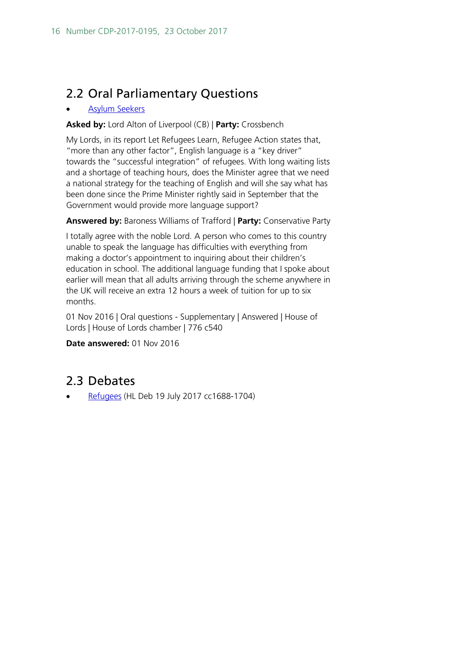# <span id="page-15-0"></span>2.2 Oral Parliamentary Questions

#### • [Asylum Seekers](https://hansard.parliament.uk/pa/ld201617/ldhansrd/text/161101-0001.htm#490082BB-0C0C-421C-B579-E1A23F575624)

#### **Asked by:** Lord Alton of Liverpool (CB) | **Party:** Crossbench

My Lords, in its report Let Refugees Learn, Refugee Action states that, "more than any other factor", English language is a "key driver" towards the "successful integration" of refugees. With long waiting lists and a shortage of teaching hours, does the Minister agree that we need a national strategy for the teaching of English and will she say what has been done since the Prime Minister rightly said in September that the Government would provide more language support?

#### **Answered by:** Baroness Williams of Trafford | **Party:** Conservative Party

I totally agree with the noble Lord. A person who comes to this country unable to speak the language has difficulties with everything from making a doctor's appointment to inquiring about their children's education in school. The additional language funding that I spoke about earlier will mean that all adults arriving through the scheme anywhere in the UK will receive an extra 12 hours a week of tuition for up to six months.

01 Nov 2016 | Oral questions - Supplementary | Answered | House of Lords | House of Lords chamber | 776 c540

#### **Date answered:** 01 Nov 2016

### <span id="page-15-1"></span>2.3 Debates

• [Refugees](https://hansard.parliament.uk/Lords/2017-07-19/debates/02FCEA8A-3782-431D-9C2C-DEA8D4783847/Refugees#debate-290410) (HL Deb 19 July 2017 cc1688-1704)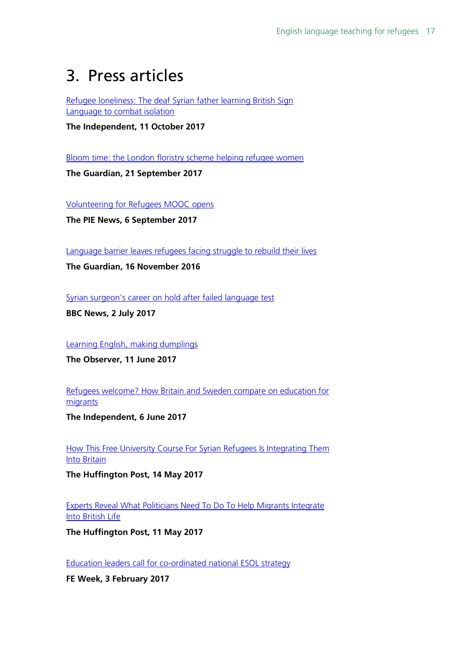# <span id="page-16-0"></span>3. Press articles

[Refugee loneliness: The deaf Syrian father learning British Sign](http://www.independent.co.uk/news/uk/home-news/refugee-loneliness-syrian-father-learns-british-sign-language-isolation-uk-government-funding-a7985886.html)  [Language to combat isolation](http://www.independent.co.uk/news/uk/home-news/refugee-loneliness-syrian-father-learns-british-sign-language-isolation-uk-government-funding-a7985886.html)

**The Independent, 11 October 2017**

[Bloom time: the London floristry scheme helping refugee women](https://www.theguardian.com/lifeandstyle/womens-blog/2017/sep/21/bloom-time-london-floristry-scheme-helping-refugee-women-bread-roses)

**The Guardian, 21 September 2017**

[Volunteering for Refugees MOOC opens](https://thepienews.com/news/volunteering-refugees-mooc-opens-futurelearn/)

**The PIE News, 6 September 2017**

[Language barrier leaves refugees facing struggle to rebuild their lives](https://www.theguardian.com/society/2016/nov/16/language-barrier-refugees-english-classes-integration-esol)

**The Guardian, 16 November 2016**

[Syrian surgeon's career on hold after failed language test](http://www.bbc.co.uk/news/uk-wales-40430541)

**BBC News, 2 July 2017**

[Learning English, making dumplings](https://www.theguardian.com/global/2017/jun/11/learning-english-making-dumplings)

**The Observer, 11 June 2017**

[Refugees welcome? How Britain and Sweden compare on education for](http://www.independent.co.uk/news/education/refugees-welcome-how-britain-and-sweden-compare-on-education-for-young-migrants-a7769556.html)  [migrants](http://www.independent.co.uk/news/education/refugees-welcome-how-britain-and-sweden-compare-on-education-for-young-migrants-a7769556.html)

**The Independent, 6 June 2017**

[How This Free University Course For Syrian Refugees Is Integrating Them](http://www.huffingtonpost.co.uk/entry/sussex-university-syrian-refugee-scholarship-integrate_uk_59173472e4b0fe039b34fd59)  **[Into Britain](http://www.huffingtonpost.co.uk/entry/sussex-university-syrian-refugee-scholarship-integrate_uk_59173472e4b0fe039b34fd59)** 

**The Huffington Post, 14 May 2017**

[Experts Reveal What Politicians Need To Do To Help Migrants Integrate](http://www.huffingtonpost.co.uk/entry/experts-migration-integration-britain_uk_5913287fe4b05e1ca203b974)  [Into British Life](http://www.huffingtonpost.co.uk/entry/experts-migration-integration-britain_uk_5913287fe4b05e1ca203b974)

**The Huffington Post, 11 May 2017**

[Education leaders call for co-ordinated national ESOL strategy](https://feweek.co.uk/2017/02/03/education-leaders-call-for-co-ordinated-national-esol-strategy/)

**FE Week, 3 February 2017**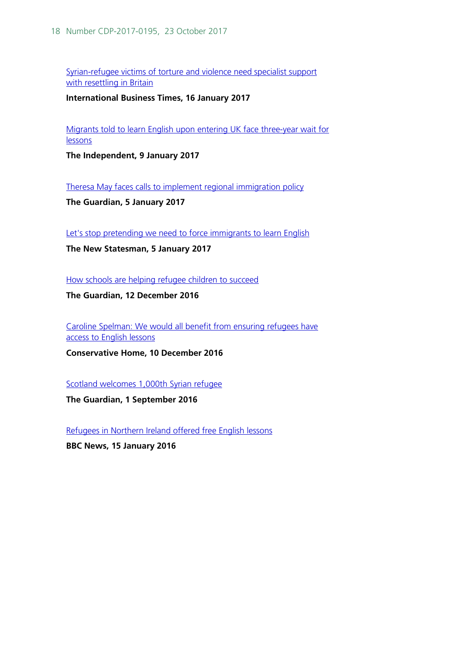[Syrian-refugee victims of torture and violence need specialist support](http://www.ibtimes.co.uk/syrian-refugee-victims-torture-violence-need-specialist-support-resettling-britain-1600981)  [with resettling in Britain](http://www.ibtimes.co.uk/syrian-refugee-victims-torture-violence-need-specialist-support-resettling-britain-1600981)

**International Business Times, 16 January 2017**

[Migrants told to learn English upon entering UK face three-year wait for](http://www.independent.co.uk/news/uk/home-news/migrants-wait-years-english-classes-government-lessons-esol-a7517221.html)  **[lessons](http://www.independent.co.uk/news/uk/home-news/migrants-wait-years-english-classes-government-lessons-esol-a7517221.html)** 

**The Independent, 9 January 2017**

[Theresa May faces calls to implement regional immigration policy](https://www.theguardian.com/uk-news/2017/jan/05/theresa-may-faces-calls-to-implement-regional-immigration-policy#img-1)

**The Guardian, 5 January 2017**

[Let's stop pretending we need to force immigrants to learn English](https://www.newstatesman.com/politics/staggers/2017/01/lets-stop-pretending-we-need-force-immigrants-learn-english)

**The New Statesman, 5 January 2017**

[How schools are helping refugee children to succeed](https://www.theguardian.com/teacher-network/2016/dec/12/how-schools-are-helping)

**The Guardian, 12 December 2016**

[Caroline Spelman: We would all benefit from ensuring refugees have](https://www.conservativehome.com/platform/2016/12/caroline-spelman-we-would-all-benefit-from-ensuring-refugees-have-access-to-english-lessons.html)  [access to English lessons](https://www.conservativehome.com/platform/2016/12/caroline-spelman-we-would-all-benefit-from-ensuring-refugees-have-access-to-english-lessons.html)

**Conservative Home, 10 December 2016**

[Scotland welcomes 1,000th Syrian refugee](https://www.theguardian.com/uk-news/2016/sep/01/scotland-celebrates-arrival-of-1000th-syrian-refugee)

**The Guardian, 1 September 2016**

[Refugees in Northern Ireland offered free English lessons](http://www.bbc.co.uk/news/uk-northern-ireland-35324418)

**BBC News, 15 January 2016**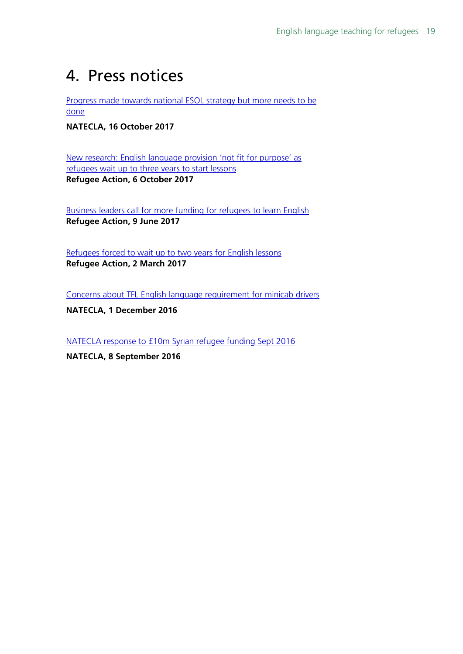# <span id="page-18-0"></span>4. Press notices

[Progress made towards national ESOL strategy but more needs to be](http://www.natecla.org.uk/news/850/Progress-made-towards-national-ESOL-strategy-but-more-needs-to-be-done)  [done](http://www.natecla.org.uk/news/850/Progress-made-towards-national-ESOL-strategy-but-more-needs-to-be-done)

**NATECLA, 16 October 2017**

[New research: English language provision 'not fit for purpose' as](http://www.refugee-action.org.uk/6179-2/)  [refugees wait up to three years to start lessons](http://www.refugee-action.org.uk/6179-2/) **Refugee Action, 6 October 2017**

[Business leaders call for more funding for refugees to learn English](http://www.refugee-action.org.uk/5019-2/) **Refugee Action, 9 June 2017**

[Refugees forced to wait up to two years for English lessons](http://www.refugee-action.org.uk/4360-2/) **Refugee Action, 2 March 2017**

[Concerns about TFL English language requirement for minicab drivers](http://www.natecla.org.uk/news/838/English-language-requirement-for-minicab-drivers)

**NATECLA, 1 December 2016**

[NATECLA response to £10m Syrian refugee funding Sept 2016](http://www.natecla.org.uk/news/832/Our-response-to-%C2%A310m-Syrian-refugee-funding)

**NATECLA, 8 September 2016**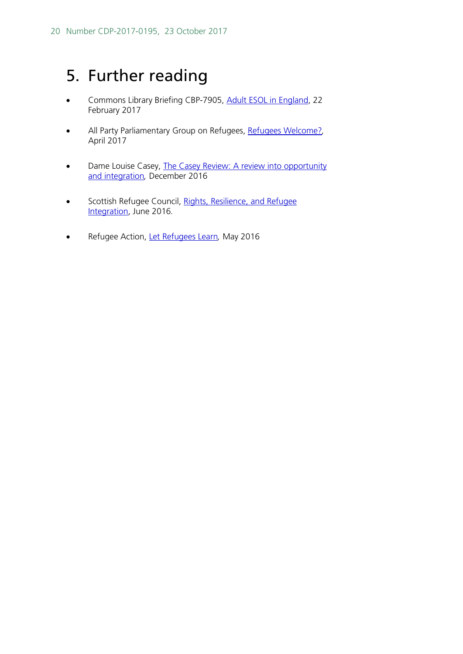# <span id="page-19-0"></span>5. Further reading

- Commons Library Briefing CBP-7905, [Adult ESOL in England,](http://researchbriefings.parliament.uk/ResearchBriefing/Summary/CBP-7905) 22 February 2017
- All Party Parliamentary Group on Refugees, [Refugees Welcome?](https://www.refugeecouncil.org.uk/assets/0004/0316/APPG_on_Refugees_-_Refugees_Welcome_report.pdf)*,*  April 2017
- Dame Louise Casey, The Casey Review: A review into opportunity [and integration](https://www.gov.uk/government/publications/the-casey-review-a-review-into-opportunity-and-integration)*,* December 2016
- Scottish Refugee Council, Rights, Resilience, and Refugee [Integration,](http://www.scottishrefugeecouncil.org.uk/assets/0001/1142/Full_Integration_Report_June_2016.pdf) June 2016*.*
- Refugee Action, [Let Refugees Learn](http://www.refugee-action.org.uk/wp-content/uploads/2016/11/letrefugeeslearnfullreport.pdf)*,* May 2016